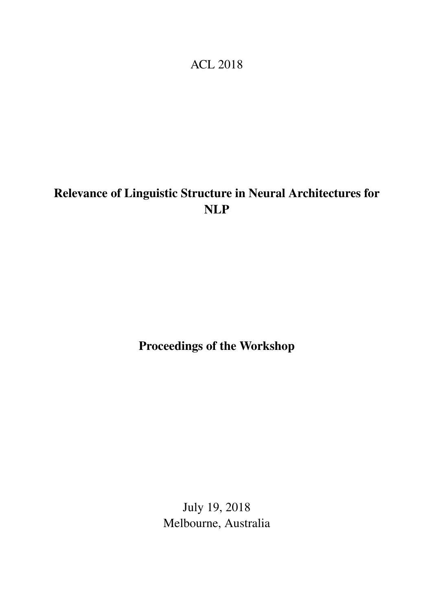## ACL 2018

# <span id="page-0-0"></span>Relevance of Linguistic Structure in Neural Architectures for NLP

## Proceedings of the Workshop

July 19, 2018 Melbourne, Australia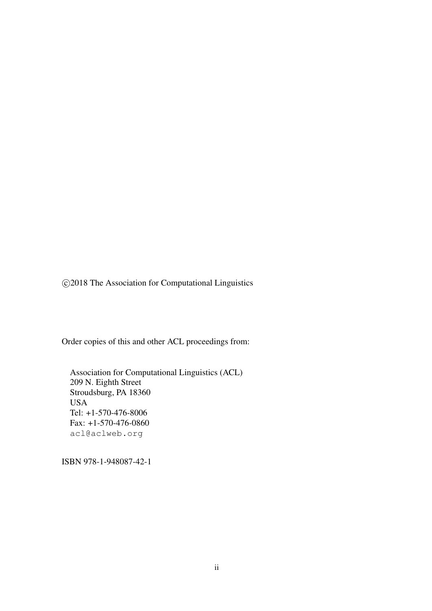c 2018 The Association for Computational Linguistics

Order copies of this and other ACL proceedings from:

Association for Computational Linguistics (ACL) 209 N. Eighth Street Stroudsburg, PA 18360 USA Tel: +1-570-476-8006 Fax: +1-570-476-0860 acl@aclweb.org

ISBN 978-1-948087-42-1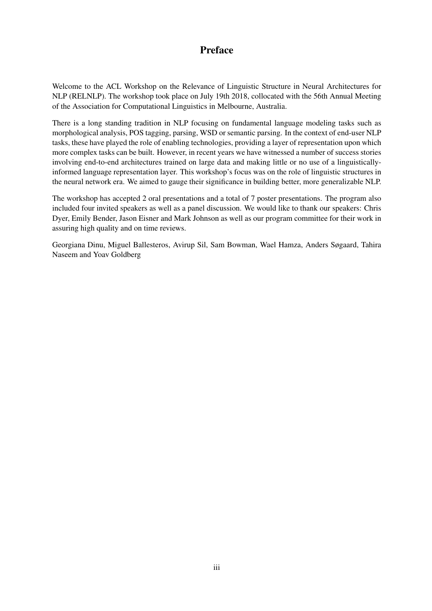### Preface

Welcome to the ACL Workshop on the Relevance of Linguistic Structure in Neural Architectures for NLP (RELNLP). The workshop took place on July 19th 2018, collocated with the 56th Annual Meeting of the Association for Computational Linguistics in Melbourne, Australia.

There is a long standing tradition in NLP focusing on fundamental language modeling tasks such as morphological analysis, POS tagging, parsing, WSD or semantic parsing. In the context of end-user NLP tasks, these have played the role of enabling technologies, providing a layer of representation upon which more complex tasks can be built. However, in recent years we have witnessed a number of success stories involving end-to-end architectures trained on large data and making little or no use of a linguisticallyinformed language representation layer. This workshop's focus was on the role of linguistic structures in the neural network era. We aimed to gauge their significance in building better, more generalizable NLP.

The workshop has accepted 2 oral presentations and a total of 7 poster presentations. The program also included four invited speakers as well as a panel discussion. We would like to thank our speakers: Chris Dyer, Emily Bender, Jason Eisner and Mark Johnson as well as our program committee for their work in assuring high quality and on time reviews.

Georgiana Dinu, Miguel Ballesteros, Avirup Sil, Sam Bowman, Wael Hamza, Anders Søgaard, Tahira Naseem and Yoav Goldberg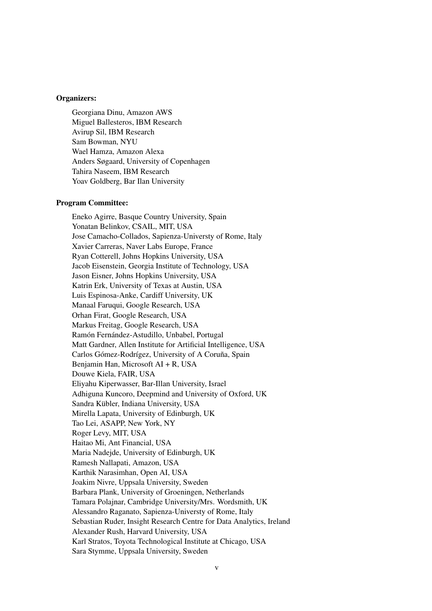#### Organizers:

Georgiana Dinu, Amazon AWS Miguel Ballesteros, IBM Research Avirup Sil, IBM Research Sam Bowman, NYU Wael Hamza, Amazon Alexa Anders Søgaard, University of Copenhagen Tahira Naseem, IBM Research Yoav Goldberg, Bar Ilan University

#### Program Committee:

Eneko Agirre, Basque Country University, Spain Yonatan Belinkov, CSAIL, MIT, USA Jose Camacho-Collados, Sapienza-Universty of Rome, Italy Xavier Carreras, Naver Labs Europe, France Ryan Cotterell, Johns Hopkins University, USA Jacob Eisenstein, Georgia Institute of Technology, USA Jason Eisner, Johns Hopkins University, USA Katrin Erk, University of Texas at Austin, USA Luis Espinosa-Anke, Cardiff University, UK Manaal Faruqui, Google Research, USA Orhan Firat, Google Research, USA Markus Freitag, Google Research, USA Ramón Fernández-Astudillo, Unbabel, Portugal Matt Gardner, Allen Institute for Artificial Intelligence, USA Carlos Gómez-Rodrígez, University of A Coruña, Spain Benjamin Han, Microsoft AI + R, USA Douwe Kiela, FAIR, USA Eliyahu Kiperwasser, Bar-Illan University, Israel Adhiguna Kuncoro, Deepmind and University of Oxford, UK Sandra Kübler, Indiana University, USA Mirella Lapata, University of Edinburgh, UK Tao Lei, ASAPP, New York, NY Roger Levy, MIT, USA Haitao Mi, Ant Financial, USA Maria Nadejde, University of Edinburgh, UK Ramesh Nallapati, Amazon, USA Karthik Narasimhan, Open AI, USA Joakim Nivre, Uppsala University, Sweden Barbara Plank, University of Groeningen, Netherlands Tamara Polajnar, Cambridge University/Mrs. Wordsmith, UK Alessandro Raganato, Sapienza-Universty of Rome, Italy Sebastian Ruder, Insight Research Centre for Data Analytics, Ireland Alexander Rush, Harvard University, USA Karl Stratos, Toyota Technological Institute at Chicago, USA Sara Stymme, Uppsala University, Sweden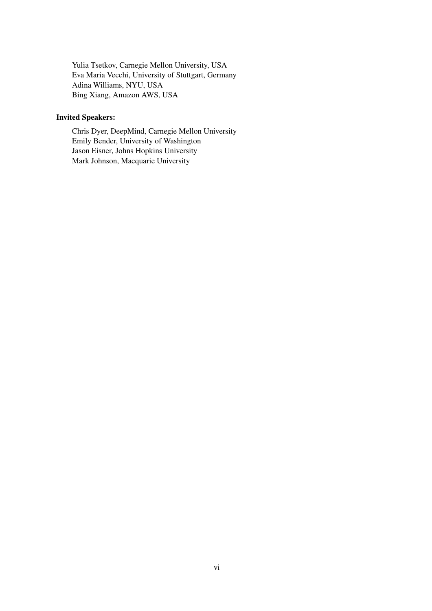Yulia Tsetkov, Carnegie Mellon University, USA Eva Maria Vecchi, University of Stuttgart, Germany Adina Williams, NYU, USA Bing Xiang, Amazon AWS, USA

### Invited Speakers:

Chris Dyer, DeepMind, Carnegie Mellon University Emily Bender, University of Washington Jason Eisner, Johns Hopkins University Mark Johnson, Macquarie University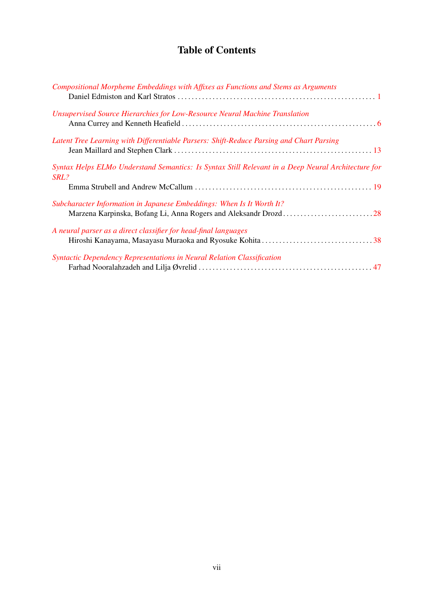## Table of Contents

| Compositional Morpheme Embeddings with Affixes as Functions and Stems as Arguments                         |  |
|------------------------------------------------------------------------------------------------------------|--|
| Unsupervised Source Hierarchies for Low-Resource Neural Machine Translation                                |  |
| Latent Tree Learning with Differentiable Parsers: Shift-Reduce Parsing and Chart Parsing                   |  |
| Syntax Helps ELMo Understand Semantics: Is Syntax Still Relevant in a Deep Neural Architecture for<br>SRL? |  |
| Subcharacter Information in Japanese Embeddings: When Is It Worth It?                                      |  |
| A neural parser as a direct classifier for head-final languages                                            |  |
| Syntactic Dependency Representations in Neural Relation Classification                                     |  |